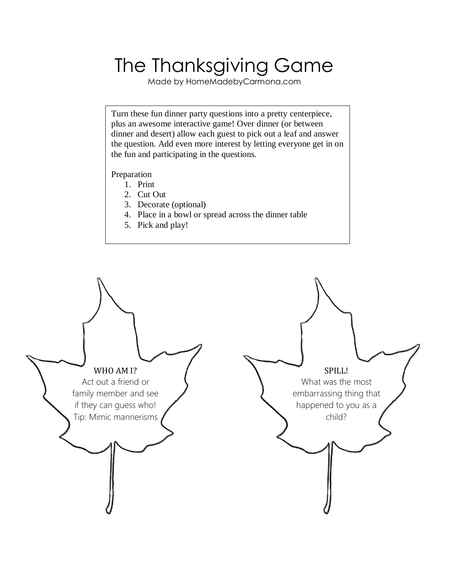## The Thanksgiving Game

Made by HomeMadebyCarmona.com

Turn these fun dinner party questions into a pretty centerpiece, plus an awesome interactive game! Over dinner (or between dinner and desert) allow each guest to pick out a leaf and answer the question. Add even more interest by letting everyone get in on the fun and participating in the questions.

## Preparation

- 1. Print
- 2. Cut Out
- 3. Decorate (optional)
- 4. Place in a bowl or spread across the dinner table
- 5. Pick and play!

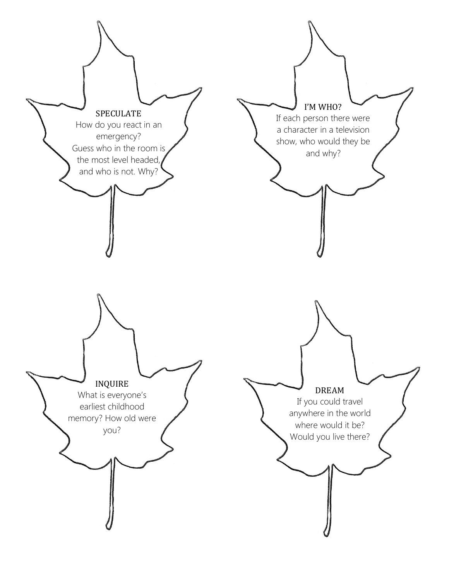